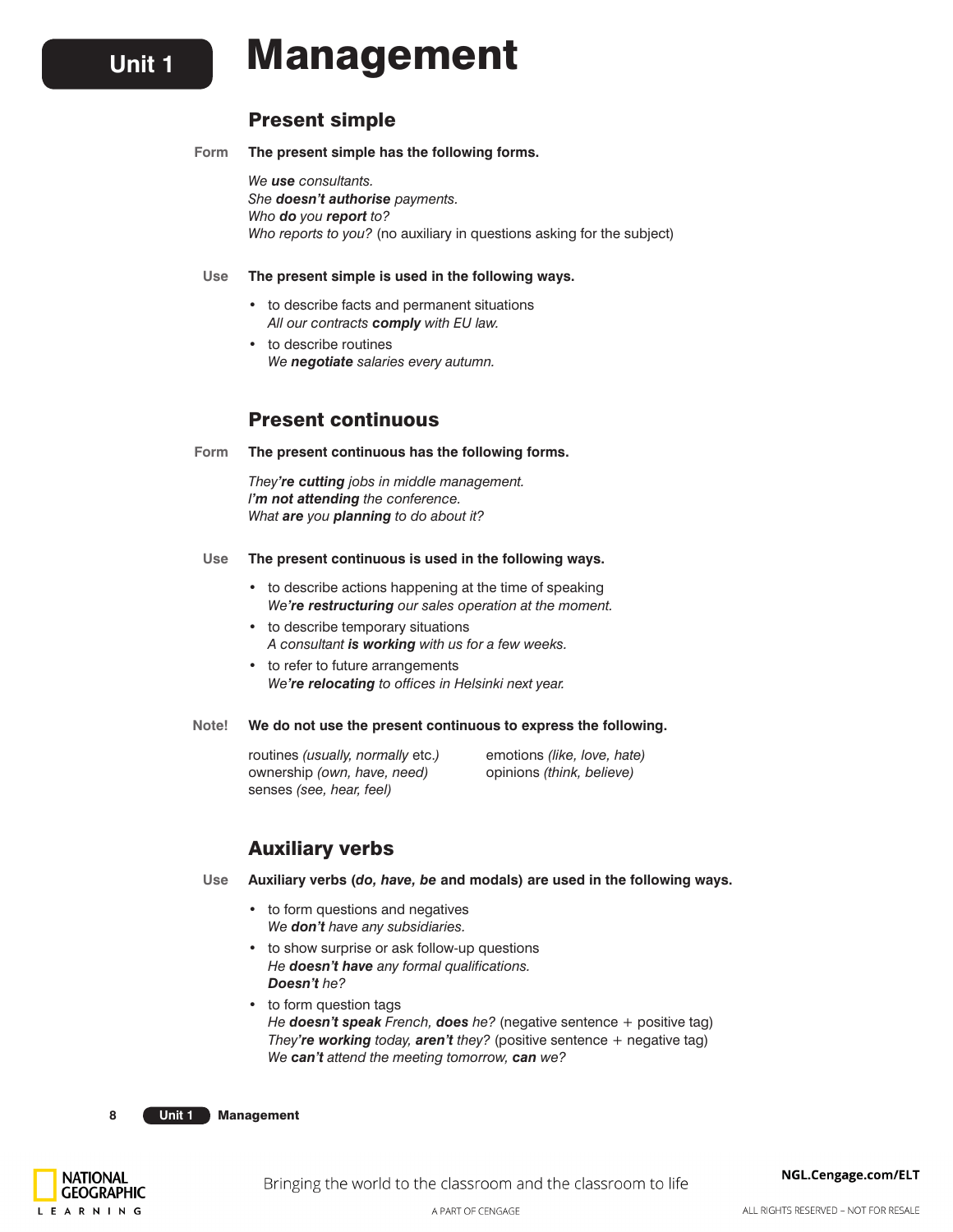# **Unit 1** Management

# Present simple

**Form The present simple has the following forms.**

*We use consultants. She doesn't authorise payments. Who do you report to? Who reports to you?* (no auxiliary in questions asking for the subject)

#### **Use The present simple is used in the following ways.**

- **•**  to describe facts and permanent situations *All our contracts comply with EU law.*
- to describe routines *We negotiate salaries every autumn.*

# Present continuous

**Form The present continuous has the following forms.**

*They're cutting jobs in middle management. I'm not attending the conference. What are you planning to do about it?*

#### **Use The present continuous is used in the following ways.**

- **•**  to describe actions happening at the time of speaking *We're restructuring our sales operation at the moment.*
- **•**  to describe temporary situations *A consultant is working with us for a few weeks.*
- **•**  to refer to future arrangements *We're relocating to offices in Helsinki next year.*

**Note! We do not use the present continuous to express the following.**

routines *(usually, normally* etc.*)* emotions *(like, love, hate)* ownership *(own, have, need)* opinions *(think, believe)* senses *(see, hear, feel)*

# Auxiliary verbs

**Use Auxiliary verbs (***do, have, be* **and modals) are used in the following ways.**

- **•**  to form questions and negatives *We don't have any subsidiaries.*
- to show surprise or ask follow-up questions *He doesn't have any formal qualifications. Doesn't he?*
- **•**  to form question tags *He doesn't speak French, does he?* (negative sentence + positive tag) *They're working today, aren't they?* (positive sentence + negative tag) *We can't attend the meeting tomorrow, can we?*

**8 Unit 1** Management

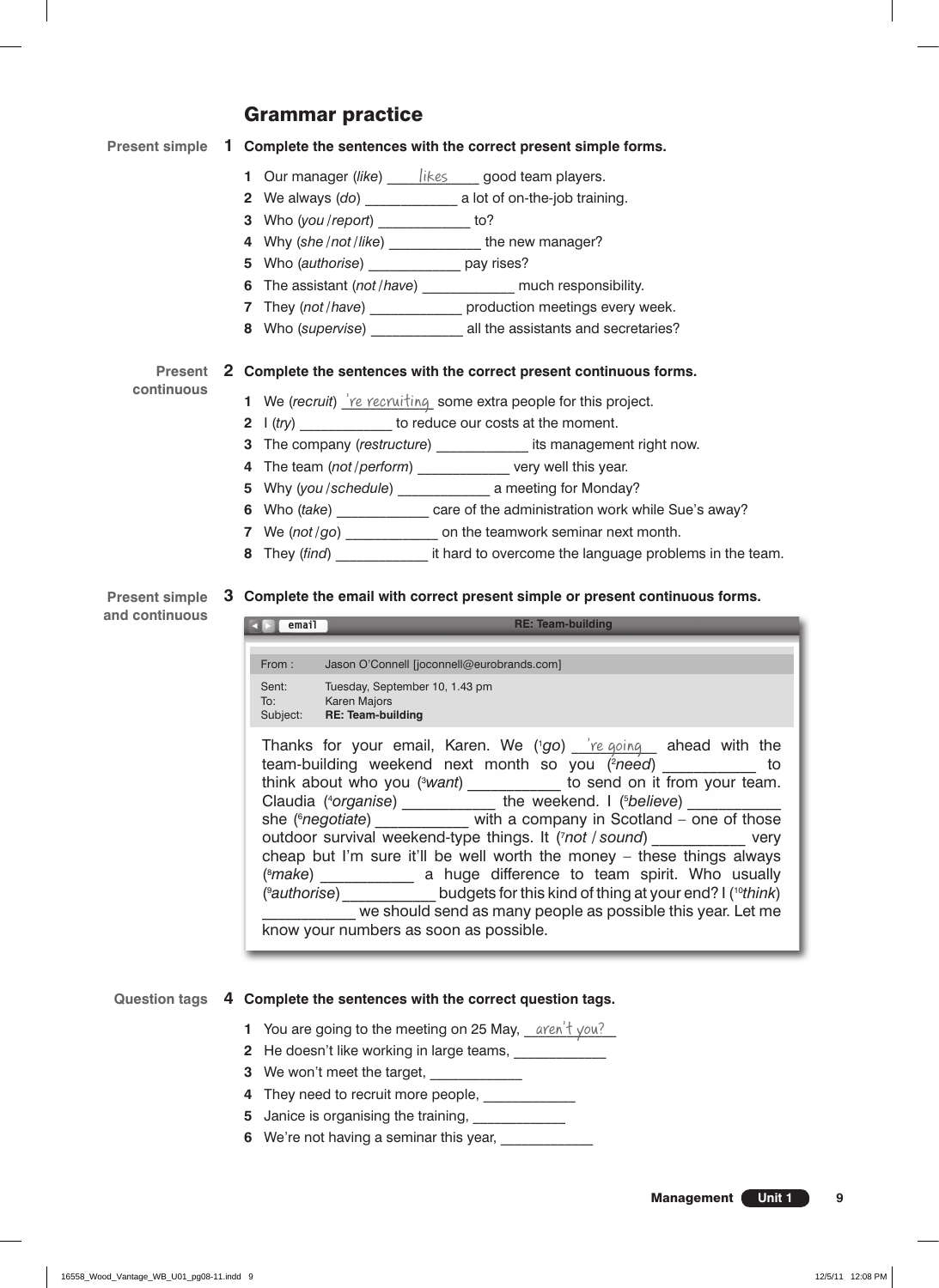# Grammar practice

#### **1 Complete the sentences with the correct present simple forms. Present simple**

- **1** Our manager (like) \_\_\_\_\_\_\_\_\_\_\_\_\_\_\_\_\_\_\_ good team players.
- **2** We always (*do*) \_\_\_\_\_\_\_\_\_\_\_\_\_ a lot of on-the-job training.
- **3** Who (*you / report*) \_\_\_\_\_\_\_\_\_\_\_\_\_ to?
- **4** Why (*she / not / like*) \_\_\_\_\_\_\_\_\_\_\_\_\_ the new manager?
- **5** Who (*authorise*) \_\_\_\_\_\_\_\_\_\_\_\_\_ pay rises?
- **6** The assistant (*not / have*) \_\_\_\_\_\_\_\_\_\_\_\_\_ much responsibility.
- **7** They (*not / have*) \_\_\_\_\_\_\_\_\_\_\_\_\_ production meetings every week.
- **8** Who (*supervise*) \_\_\_\_\_\_\_\_\_\_\_\_\_ all the assistants and secretaries?

# **2 Complete the sentences with the correct present continuous forms. Present**

**continuous**

**and continuous**

- **1** We (recruit) <u>'re recruiting</u> some extra people for this project.
- **2** I (*try*) to reduce our costs at the moment.
- **3** The company (*restructure*) \_\_\_\_\_\_\_\_\_\_\_\_\_ its management right now.
- **4** The team (*not / perform*) \_\_\_\_\_\_\_\_\_\_\_\_\_ very well this year.
- **5** Why (*you / schedule*) \_\_\_\_\_\_\_\_\_\_\_\_\_ a meeting for Monday?
- **6** Who (*take*) \_\_\_\_\_\_\_\_\_\_\_\_\_ care of the administration work while Sue's away?
- **7** We (not/go) \_\_\_\_\_\_\_\_\_\_\_\_\_\_ on the teamwork seminar next month.
- **8** They (*find*) **a** it hard to overcome the language problems in the team.

#### **3 Complete the email with correct present simple or present continuous forms. Present simple**

# **email** Thanks for your email, Karen. We ('go) <u>Ye going ahead with the </u> team-building weekend next month so you (<sup>2</sup>need) electronic to think about who you (<sup>3</sup>want) to send on it from your team. Claudia (<sup>4</sup>organise) \_\_\_\_\_\_\_\_\_\_\_\_ the weekend. I (<sup>5</sup>believe) \_\_\_\_\_\_\_\_\_\_\_\_ she (<sup>e</sup>negotiate) *negotiate* with a company in Scotland – one of those outdoor survival weekend-type things. It (7 *not / sound*) \_\_\_\_\_\_\_\_\_\_\_\_ very cheap but I'm sure it'll be well worth the money – these things always (8 *make*) \_\_\_\_\_\_\_\_\_\_\_\_ a huge difference to team spirit. Who usually (9 *authorise*)\_\_\_\_\_\_\_\_\_\_\_\_ budgets for this kind of thing at your end? I (10*think*) we should send as many people as possible this year. Let me know your numbers as soon as possible. From : Jason O'Connell [joconnell@eurobrands.com] Sent: Tuesday, September 10, 1.43 pm To: Karen Majors Subject: **RE: Team-building RE: Team-building**

# **4 Complete the sentences with the correct question tags. Question tags**

- **1** You are going to the meeting on 25 May, <u>aren't you?</u>
- **2** He doesn't like working in large teams, \_\_\_\_\_\_\_\_\_\_\_\_\_
- **3** We won't meet the target,
- **4** They need to recruit more people, \_\_\_\_\_\_\_\_\_\_\_\_
- **5** Janice is organising the training, \_\_\_\_\_\_\_\_\_\_\_\_\_\_
- **6** We're not having a seminar this year,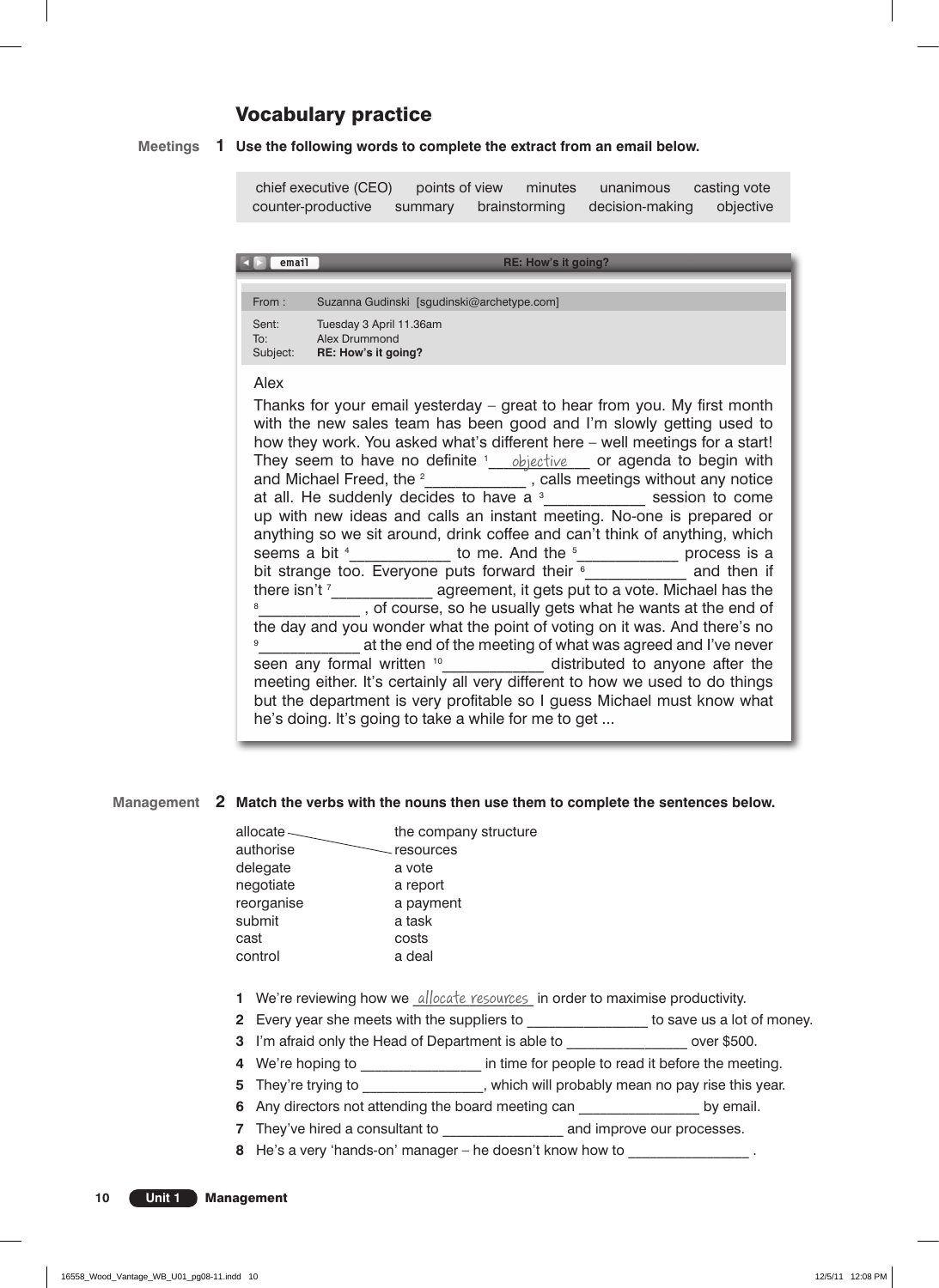# Vocabulary practice

#### **1 Use the following words to complete the extract from an email below. Meetings**

chief executive (CEO) points of view minutes unanimous casting vote counter-productive summary brainstorming decision-making objective

**email** From : Suzanna Gudinski [sgudinski@archetype.com] Sent: Tuesday 3 April 11.36am To: Alex Drummond Subject: **RE: How's it going? RE: How's it going?**

### Alex

Thanks for your email yesterday – great to hear from you. My first month with the new sales team has been good and I'm slowly getting used to how they work. You asked what's different here – well meetings for a start! They seem to have no definite <sup>1</sup> objective or agenda to begin with and Michael Freed, the <sup>2</sup> \_\_\_\_\_\_\_\_\_\_\_\_\_, calls meetings without any notice at all. He suddenly decides to have a  $3$  session to come up with new ideas and calls an instant meeting. No-one is prepared or anything so we sit around, drink coffee and can't think of anything, which seems a bit  $\frac{4}{3}$  b to me. And the  $\frac{5}{3}$  process is a bit strange too. Everyone puts forward their  $\frac{1}{2}$  and then if there isn't  $\frac{7}{100}$  agreement, it gets put to a vote. Michael has the  $\frac{8}{100}$ <sup>8</sup>\_\_\_\_\_\_\_\_\_\_\_\_\_, of course, so he usually gets what he wants at the end of the day and you wonder what the point of voting on it was. And there's no 9 \_\_\_\_\_\_\_\_\_\_\_\_\_ at the end of the meeting of what was agreed and I've never seen any formal written <sup>10</sup>\_\_\_\_\_\_\_\_\_\_\_\_\_\_ distributed to anyone after the meeting either. It's certainly all very different to how we used to do things but the department is very profitable so I guess Michael must know what he's doing. It's going to take a while for me to get ...

# Management 2 Match the verbs with the nouns then use them to complete the sentences below.

| allocate   | the company structure |
|------------|-----------------------|
| authorise  | resources             |
| delegate   | a vote                |
| negotiate  | a report              |
| reorganise | a payment             |
| submit     | a task                |
| cast       | costs                 |
| control    | a deal                |
|            |                       |

**1** We're reviewing how we *allocate resources* in order to maximise productivity.

- **2** Every year she meets with the suppliers to \_\_\_\_\_\_\_\_\_\_\_\_\_\_\_\_\_ to save us a lot of money.
- **3** I'm afraid only the Head of Department is able to *perminiment* over \$500.
- **4** We're hoping to \_\_\_\_\_\_\_\_\_\_\_\_\_\_\_\_\_\_\_\_ in time for people to read it before the meeting.
- **5** They're trying to **the contract to the state of the state of the state of the state of the state of the state of the state of the state of the state of the state of the state of the state of the state of the state of t**
- **6** Any directors not attending the board meeting can by email.
- **7** They've hired a consultant to **a** and improve our processes.
- **8** He's a very 'hands-on' manager he doesn't know how to